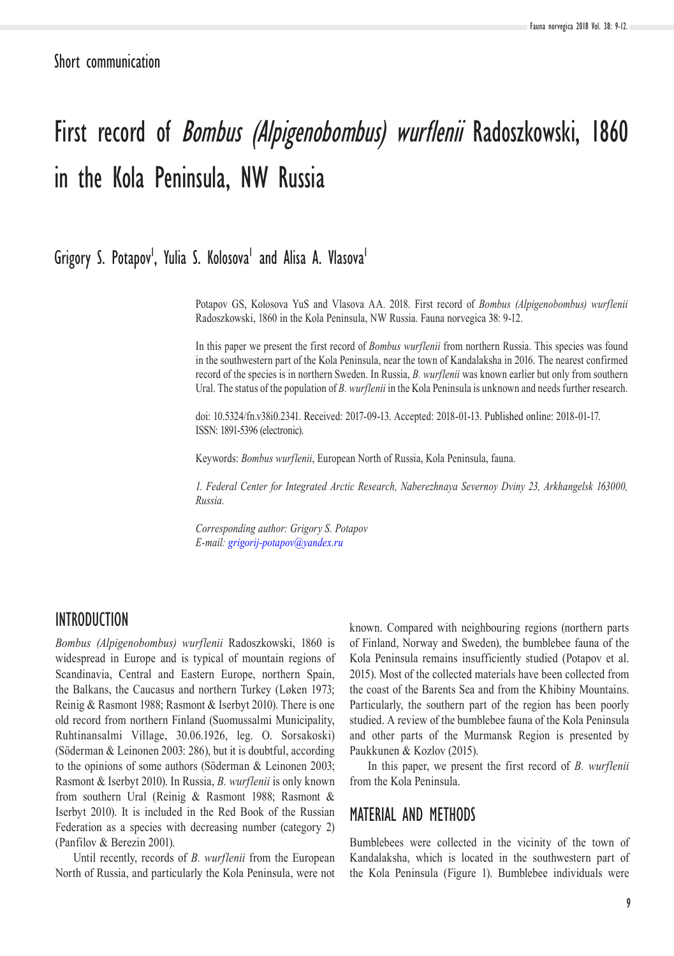Short communication

# First record of Bombus (Alpigenobombus) wurflenii Radoszkowski, 1860 in the Kola Peninsula, NW Russia

## Grigory S. Potapov<sup>I</sup>, Yulia S. Kolosova<sup>1</sup> and Alisa A. Vlasova<sup>1</sup>

Potapov GS, Kolosova YuS and Vlasova AA. 2018. First record of *Bombus (Alpigenobombus) wurflenii* Radoszkowski, 1860 in the Kola Peninsula, NW Russia. Fauna norvegica 38: 9-12.

In this paper we present the first record of *Bombus wurflenii* from northern Russia. This species was found in the southwestern part of the Kola Peninsula, near the town of Kandalaksha in 2016. The nearest confirmed record of the species is in northern Sweden. In Russia, *B. wurflenii* was known earlier but only from southern Ural. The status of the population of *B. wurflenii* in the Kola Peninsula is unknown and needs further research.

doi: 10.5324/fn.v38i0.2341. Received: 2017-09-13. Accepted: 2018-01-13. Published online: 2018-01-17. ISSN: 1891-5396 (electronic).

Keywords: *Bombus wurflenii*, European North of Russia, Kola Peninsula, fauna.

*1. Federal Center for Integrated Arctic Research, Naberezhnaya Severnoy Dviny 23, Arkhangelsk 163000, Russia.*

*Corresponding author: Grigory S. Potapov E-mail: [grigorij-potapov@yandex.ru](mailto:grigorij-potapov%40yandex.ru?subject=)*

#### INTRODUCTION

*Bombus (Alpigenobombus) wurflenii* Radoszkowski, 1860 is widespread in Europe and is typical of mountain regions of Scandinavia, Central and Eastern Europe, northern Spain, the Balkans, the Caucasus and northern Turkey (Løken 1973; Reinig & Rasmont 1988; Rasmont & Iserbyt 2010). There is one old record from northern Finland (Suomussalmi Municipality, Ruhtinansalmi Village, 30.06.1926, leg. O. Sorsakoski) (Söderman & Leinonen 2003: 286), but it is doubtful, according to the opinions of some authors (Söderman & Leinonen 2003; Rasmont & Iserbyt 2010). In Russia, *B. wurflenii* is only known from southern Ural (Reinig & Rasmont 1988; Rasmont & Iserbyt 2010). It is included in the Red Book of the Russian Federation as a species with decreasing number (category 2) (Panfilov & Berezin 2001).

Until recently, records of *B. wurflenii* from the European North of Russia, and particularly the Kola Peninsula, were not known. Compared with neighbouring regions (northern parts of Finland, Norway and Sweden), the bumblebee fauna of the Kola Peninsula remains insufficiently studied (Potapov et al. 2015). Most of the collected materials have been collected from the coast of the Barents Sea and from the Khibiny Mountains. Particularly, the southern part of the region has been poorly studied. A review of the bumblebee fauna of the Kola Peninsula and other parts of the Murmansk Region is presented by Paukkunen & Kozlov (2015).

In this paper, we present the first record of *B. wurflenii* from the Kola Peninsula.

#### MATERIAL AND METHODS

Bumblebees were collected in the vicinity of the town of Kandalaksha, which is located in the southwestern part of the Kola Peninsula (Figure 1). Bumblebee individuals were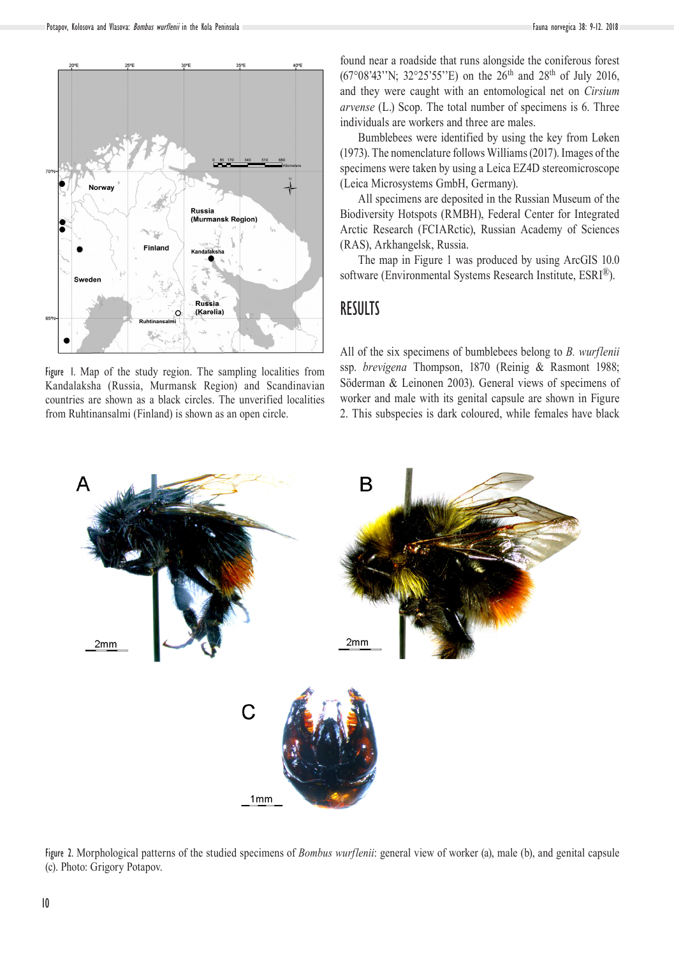

Figure 1. Map of the study region. The sampling localities from Kandalaksha (Russia, Murmansk Region) and Scandinavian countries are shown as a black circles. The unverified localities from Ruhtinansalmi (Finland) is shown as an open circle.

found near a roadside that runs alongside the coniferous forest  $(67^{\circ}08'43''$ N;  $32^{\circ}25'55''$ E) on the  $26^{th}$  and  $28^{th}$  of July 2016, and they were caught with an entomological net on *Cirsium arvense* (L.) Scop. The total number of specimens is 6. Three individuals are workers and three are males.

Bumblebees were identified by using the key from Løken (1973). The nomenclature follows Williams (2017). Images of the specimens were taken by using a Leica EZ4D stereomicroscope (Leica Microsystems GmbH, Germany).

All specimens are deposited in the Russian Museum of the Biodiversity Hotspots (RMBH), Federal Center for Integrated Arctic Research (FCIARctic), Russian Academy of Sciences (RAS), Arkhangelsk, Russia.

The map in Figure 1 was produced by using ArcGIS 10.0 software (Environmental Systems Research Institute, ESRI®).

#### **RESULTS**

All of the six specimens of bumblebees belong to *B. wurflenii* ssp. *brevigena* Thompson, 1870 (Reinig & Rasmont 1988; Söderman & Leinonen 2003). General views of specimens of worker and male with its genital capsule are shown in Figure 2. This subspecies is dark coloured, while females have black



Figure 2. Morphological patterns of the studied specimens of *Bombus wurflenii*: general view of worker (a), male (b), and genital capsule (c). Photo: Grigory Potapov.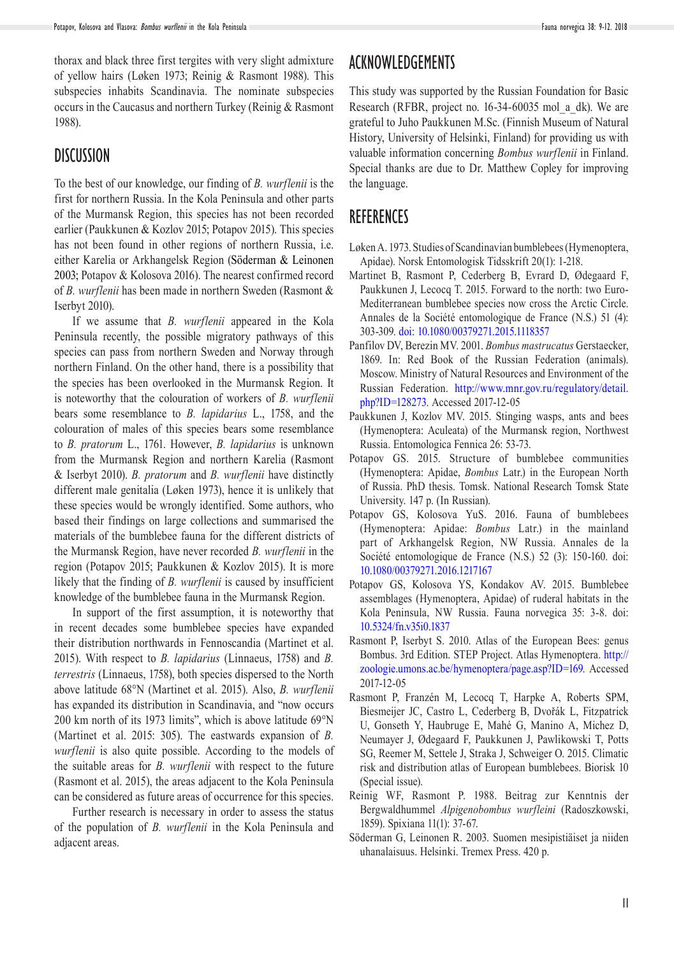thorax and black three first tergites with very slight admixture of yellow hairs (Løken 1973; Reinig & Rasmont 1988). This subspecies inhabits Scandinavia. The nominate subspecies occurs in the Caucasus and northern Turkey (Reinig & Rasmont 1988).

#### **DISCUSSION**

To the best of our knowledge, our finding of *B. wurflenii* is the first for northern Russia. In the Kola Peninsula and other parts of the Murmansk Region, this species has not been recorded earlier (Paukkunen & Kozlov 2015; Potapov 2015). This species has not been found in other regions of northern Russia, i.e. either Karelia or Arkhangelsk Region (Söderman & Leinonen 2003; Potapov & Kolosova 2016). The nearest confirmed record of *B. wurflenii* has been made in northern Sweden (Rasmont & Iserbyt 2010).

If we assume that *B. wurflenii* appeared in the Kola Peninsula recently, the possible migratory pathways of this species can pass from northern Sweden and Norway through northern Finland. On the other hand, there is a possibility that the species has been overlooked in the Murmansk Region. It is noteworthy that the colouration of workers of *B. wurflenii* bears some resemblance to *B. lapidarius* L., 1758, and the colouration of males of this species bears some resemblance to *B. pratorum* L., 1761. However, *B. lapidarius* is unknown from the Murmansk Region and northern Karelia (Rasmont & Iserbyt 2010). *B. pratorum* and *B. wurflenii* have distinctly different male genitalia (Løken 1973), hence it is unlikely that these species would be wrongly identified. Some authors, who based their findings on large collections and summarised the materials of the bumblebee fauna for the different districts of the Murmansk Region, have never recorded *B. wurflenii* in the region (Potapov 2015; Paukkunen & Kozlov 2015). It is more likely that the finding of *B. wurflenii* is caused by insufficient knowledge of the bumblebee fauna in the Murmansk Region.

In support of the first assumption, it is noteworthy that in recent decades some bumblebee species have expanded their distribution northwards in Fennoscandia (Martinet et al. 2015). With respect to *B. lapidarius* (Linnaeus, 1758) and *B. terrestris* (Linnaeus, 1758), both species dispersed to the North above latitude 68°N (Martinet et al. 2015). Also, *B. wurflenii*  has expanded its distribution in Scandinavia, and "now occurs 200 km north of its 1973 limits", which is above latitude 69°N (Martinet et al. 2015: 305). The eastwards expansion of *B. wurflenii* is also quite possible. According to the models of the suitable areas for *B. wurflenii* with respect to the future (Rasmont et al. 2015), the areas adjacent to the Kola Peninsula can be considered as future areas of occurrence for this species.

Further research is necessary in order to assess the status of the population of *B. wurflenii* in the Kola Peninsula and adjacent areas.

### ACKNOWLEDGEMENTS

This study was supported by the Russian Foundation for Basic Research (RFBR, project no. 16-34-60035 mol a dk). We are grateful to Juho Paukkunen M.Sc. (Finnish Museum of Natural History, University of Helsinki, Finland) for providing us with valuable information concerning *Bombus wurflenii* in Finland. Special thanks are due to Dr. Matthew Copley for improving the language.

#### **REFERENCES**

- Løken A. 1973. Studies of Scandinavian bumblebees (Hymenoptera, Apidae). Norsk Entomologisk Tidsskrift 20(1): 1-218.
- Martinet B, Rasmont P, Cederberg B, Evrard D, Ødegaard F, Paukkunen J, Lecocq T. 2015. Forward to the north: two Euro-Mediterranean bumblebee species now cross the Arctic Circle. Annales de la Société entomologique de France (N.S.) 51 (4): 303-309. [doi: 10.1080/00379271.2015.1118357](http://dx.doi.org/10.1080/00379271.2015.1118357)
- Panfilov DV, Berezin MV. 2001. *Bombus mastrucatus* Gerstaecker, 1869. In: Red Book of the Russian Federation (animals). Moscow. Ministry of Natural Resources and Environment of the Russian Federation. [http://www.mnr.gov.ru/regulatory/detail.](http://www.mnr.gov.ru/regulatory/detail.php?ID=128273) [php?ID=128273.](http://www.mnr.gov.ru/regulatory/detail.php?ID=128273) Accessed 2017-12-05
- Paukkunen J, Kozlov MV. 2015. Stinging wasps, ants and bees (Hymenoptera: Aculeata) of the Murmansk region, Northwest Russia. Entomologica Fennica 26: 53-73.
- Potapov GS. 2015. Structure of bumblebee communities (Hymenoptera: Apidae, *Bombus* Latr.) in the European North of Russia. PhD thesis. Tomsk. National Research Tomsk State University. 147 p. (In Russian).
- Potapov GS, Kolosova YuS. 2016. Fauna of bumblebees (Hymenoptera: Apidae: *Bombus* Latr.) in the mainland part of Arkhangelsk Region, NW Russia. Annales de la Société entomologique de France (N.S.) 52 (3): 150-160. doi: [10.1080/00379271.2016.1217167](http://dx.doi.org/10.1080/00379271.2016.1217167)
- Potapov GS, Kolosova YS, Kondakov AV. 2015. Bumblebee assemblages (Hymenoptera, Apidae) of ruderal habitats in the Kola Peninsula, NW Russia. Fauna norvegica 35: 3-8. doi: [10.5324/fn.v35i0.1837](http://dx.doi.org/10.5324/fn.v35i0.1837)
- Rasmont P, Iserbyt S. 2010. Atlas of the European Bees: genus Bombus. 3rd Edition. STEP Project. Atlas Hymenoptera. [http://](http://zoologie.umons.ac.be/hymenoptera/page.asp?ID=169) [zoologie.umons.ac.be/hymenoptera/page.asp?ID=169.](http://zoologie.umons.ac.be/hymenoptera/page.asp?ID=169) Accessed 2017-12-05
- Rasmont P, Franzén M, Lecocq T, Harpke A, Roberts SPM, Biesmeijer JC, Castro L, Cederberg B, Dvořák L, Fitzpatrick U, Gonseth Y, Haubruge E, Mahé G, Manino A, Michez D, Neumayer J, Ødegaard F, Paukkunen J, Pawlikowski T, Potts SG, Reemer M, Settele J, Straka J, Schweiger O. 2015. Climatic risk and distribution atlas of European bumblebees. Biorisk 10 (Special issue).
- Reinig WF, Rasmont P. 1988. Beitrag zur Kenntnis der Bergwaldhummel *Alpigenobombus wurfleini* (Radoszkowski, 1859). Spixiana 11(1): 37-67.
- Söderman G, Leinonen R. 2003. Suomen mesipistiäiset ja niiden uhanalaisuus. Helsinki. Tremex Press. 420 p.